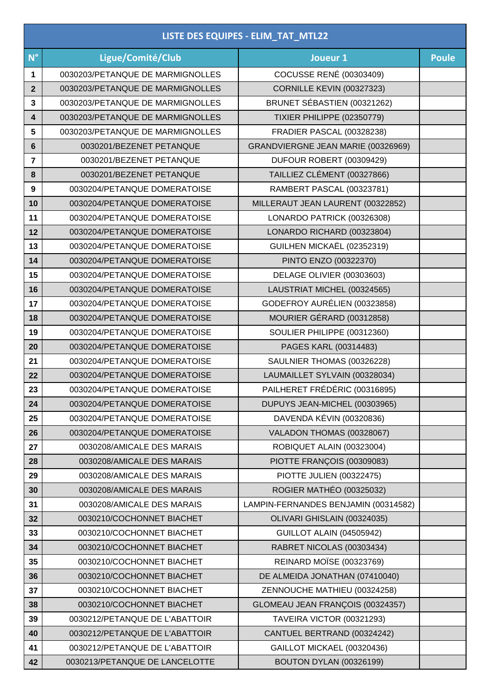## **LISTE DES EQUIPES - ELIM\_TAT\_MTL22**

| $N^{\circ}$  | Ligue/Comité/Club                | Joueur 1                             | <b>Poule</b> |
|--------------|----------------------------------|--------------------------------------|--------------|
| 1            | 0030203/PETANQUE DE MARMIGNOLLES | <b>COCUSSE RENÉ (00303409)</b>       |              |
| $\mathbf{2}$ | 0030203/PETANQUE DE MARMIGNOLLES | <b>CORNILLE KEVIN (00327323)</b>     |              |
| 3            | 0030203/PETANQUE DE MARMIGNOLLES | BRUNET SÉBASTIEN (00321262)          |              |
| 4            | 0030203/PETANQUE DE MARMIGNOLLES | <b>TIXIER PHILIPPE (02350779)</b>    |              |
| 5            | 0030203/PETANQUE DE MARMIGNOLLES | FRADIER PASCAL (00328238)            |              |
| 6            | 0030201/BEZENET PETANQUE         | GRANDVIERGNE JEAN MARIE (00326969)   |              |
| 7            | 0030201/BEZENET PETANQUE         | DUFOUR ROBERT (00309429)             |              |
| 8            | 0030201/BEZENET PETANQUE         | TAILLIEZ CLÉMENT (00327866)          |              |
| 9            | 0030204/PETANQUE DOMERATOISE     | RAMBERT PASCAL (00323781)            |              |
| 10           | 0030204/PETANQUE DOMERATOISE     | MILLERAUT JEAN LAURENT (00322852)    |              |
| 11           | 0030204/PETANQUE DOMERATOISE     | LONARDO PATRICK (00326308)           |              |
| 12           | 0030204/PETANQUE DOMERATOISE     | LONARDO RICHARD (00323804)           |              |
| 13           | 0030204/PETANQUE DOMERATOISE     | GUILHEN MICKAËL (02352319)           |              |
| 14           | 0030204/PETANQUE DOMERATOISE     | PINTO ENZO (00322370)                |              |
| 15           | 0030204/PETANQUE DOMERATOISE     | DELAGE OLIVIER (00303603)            |              |
| 16           | 0030204/PETANQUE DOMERATOISE     | LAUSTRIAT MICHEL (00324565)          |              |
| 17           | 0030204/PETANQUE DOMERATOISE     | GODEFROY AURÉLIEN (00323858)         |              |
| 18           | 0030204/PETANQUE DOMERATOISE     | MOURIER GÉRARD (00312858)            |              |
| 19           | 0030204/PETANQUE DOMERATOISE     | SOULIER PHILIPPE (00312360)          |              |
| 20           | 0030204/PETANQUE DOMERATOISE     | PAGES KARL (00314483)                |              |
| 21           | 0030204/PETANQUE DOMERATOISE     | SAULNIER THOMAS (00326228)           |              |
| 22           | 0030204/PETANQUE DOMERATOISE     | LAUMAILLET SYLVAIN (00328034)        |              |
| 23           | 0030204/PETANQUE DOMERATOISE     | PAILHERET FRÉDÉRIC (00316895)        |              |
| 24           | 0030204/PETANQUE DOMERATOISE     | DUPUYS JEAN-MICHEL (00303965)        |              |
| 25           | 0030204/PETANQUE DOMERATOISE     | DAVENDA KÉVIN (00320836)             |              |
| 26           | 0030204/PETANQUE DOMERATOISE     | VALADON THOMAS (00328067)            |              |
| 27           | 0030208/AMICALE DES MARAIS       | ROBIQUET ALAIN (00323004)            |              |
| 28           | 0030208/AMICALE DES MARAIS       | PIOTTE FRANÇOIS (00309083)           |              |
| 29           | 0030208/AMICALE DES MARAIS       | PIOTTE JULIEN (00322475)             |              |
| 30           | 0030208/AMICALE DES MARAIS       | ROGIER MATHÉO (00325032)             |              |
| 31           | 0030208/AMICALE DES MARAIS       | LAMPIN-FERNANDES BENJAMIN (00314582) |              |
| 32           | 0030210/COCHONNET BIACHET        | OLIVARI GHISLAIN (00324035)          |              |
| 33           | 0030210/COCHONNET BIACHET        | <b>GUILLOT ALAIN (04505942)</b>      |              |
| 34           | 0030210/COCHONNET BIACHET        | RABRET NICOLAS (00303434)            |              |
| 35           | 0030210/COCHONNET BIACHET        | <b>REINARD MOÏSE (00323769)</b>      |              |
| 36           | 0030210/COCHONNET BIACHET        | DE ALMEIDA JONATHAN (07410040)       |              |
| 37           | 0030210/COCHONNET BIACHET        | ZENNOUCHE MATHIEU (00324258)         |              |
| 38           | 0030210/COCHONNET BIACHET        | GLOMEAU JEAN FRANÇOIS (00324357)     |              |
| 39           | 0030212/PETANQUE DE L'ABATTOIR   | TAVEIRA VICTOR (00321293)            |              |
| 40           | 0030212/PETANQUE DE L'ABATTOIR   | CANTUEL BERTRAND (00324242)          |              |
| 41           | 0030212/PETANQUE DE L'ABATTOIR   | GAILLOT MICKAEL (00320436)           |              |
| 42           | 0030213/PETANQUE DE LANCELOTTE   | BOUTON DYLAN (00326199)              |              |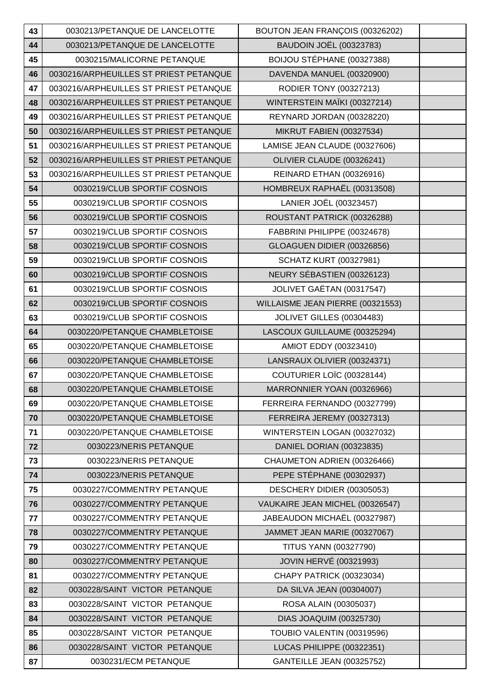| 43 | 0030213/PETANQUE DE LANCELOTTE         | BOUTON JEAN FRANÇOIS (00326202)  |  |
|----|----------------------------------------|----------------------------------|--|
| 44 | 0030213/PETANQUE DE LANCELOTTE         | <b>BAUDOIN JOËL (00323783)</b>   |  |
| 45 | 0030215/MALICORNE PETANQUE             | BOIJOU STÉPHANE (00327388)       |  |
| 46 | 0030216/ARPHEUILLES ST PRIEST PETANQUE | DAVENDA MANUEL (00320900)        |  |
| 47 | 0030216/ARPHEUILLES ST PRIEST PETANQUE | RODIER TONY (00327213)           |  |
| 48 | 0030216/ARPHEUILLES ST PRIEST PETANQUE | WINTERSTEIN MAÏKI (00327214)     |  |
| 49 | 0030216/ARPHEUILLES ST PRIEST PETANQUE | REYNARD JORDAN (00328220)        |  |
| 50 | 0030216/ARPHEUILLES ST PRIEST PETANQUE | <b>MIKRUT FABIEN (00327534)</b>  |  |
| 51 | 0030216/ARPHEUILLES ST PRIEST PETANQUE | LAMISE JEAN CLAUDE (00327606)    |  |
| 52 | 0030216/ARPHEUILLES ST PRIEST PETANQUE | OLIVIER CLAUDE (00326241)        |  |
| 53 | 0030216/ARPHEUILLES ST PRIEST PETANQUE | REINARD ETHAN (00326916)         |  |
| 54 | 0030219/CLUB SPORTIF COSNOIS           | HOMBREUX RAPHAËL (00313508)      |  |
| 55 | 0030219/CLUB SPORTIF COSNOIS           | LANIER JOËL (00323457)           |  |
| 56 | 0030219/CLUB SPORTIF COSNOIS           | ROUSTANT PATRICK (00326288)      |  |
| 57 | 0030219/CLUB SPORTIF COSNOIS           | FABBRINI PHILIPPE (00324678)     |  |
| 58 | 0030219/CLUB SPORTIF COSNOIS           | GLOAGUEN DIDIER (00326856)       |  |
| 59 | 0030219/CLUB SPORTIF COSNOIS           | <b>SCHATZ KURT (00327981)</b>    |  |
| 60 | 0030219/CLUB SPORTIF COSNOIS           | NEURY SÉBASTIEN (00326123)       |  |
| 61 | 0030219/CLUB SPORTIF COSNOIS           | JOLIVET GAËTAN (00317547)        |  |
| 62 | 0030219/CLUB SPORTIF COSNOIS           | WILLAISME JEAN PIERRE (00321553) |  |
| 63 | 0030219/CLUB SPORTIF COSNOIS           | <b>JOLIVET GILLES (00304483)</b> |  |
| 64 | 0030220/PETANQUE CHAMBLETOISE          | LASCOUX GUILLAUME (00325294)     |  |
| 65 | 0030220/PETANQUE CHAMBLETOISE          | AMIOT EDDY (00323410)            |  |
| 66 | 0030220/PETANQUE CHAMBLETOISE          | LANSRAUX OLIVIER (00324371)      |  |
| 67 | 0030220/PETANQUE CHAMBLETOISE          | COUTURIER LOÏC (00328144)        |  |
| 68 | 0030220/PETANQUE CHAMBLETOISE          | MARRONNIER YOAN (00326966)       |  |
| 69 | 0030220/PETANQUE CHAMBLETOISE          | FERREIRA FERNANDO (00327799)     |  |
| 70 | 0030220/PETANQUE CHAMBLETOISE          | FERREIRA JEREMY (00327313)       |  |
| 71 | 0030220/PETANQUE CHAMBLETOISE          | WINTERSTEIN LOGAN (00327032)     |  |
| 72 | 0030223/NERIS PETANQUE                 | DANIEL DORIAN (00323835)         |  |
| 73 | 0030223/NERIS PETANQUE                 | CHAUMETON ADRIEN (00326466)      |  |
| 74 | 0030223/NERIS PETANQUE                 | PEPE STÉPHANE (00302937)         |  |
| 75 | 0030227/COMMENTRY PETANQUE             | DESCHERY DIDIER (00305053)       |  |
| 76 | 0030227/COMMENTRY PETANQUE             | VAUKAIRE JEAN MICHEL (00326547)  |  |
| 77 | 0030227/COMMENTRY PETANQUE             | JABEAUDON MICHAËL (00327987)     |  |
| 78 | 0030227/COMMENTRY PETANQUE             | JAMMET JEAN MARIE (00327067)     |  |
| 79 | 0030227/COMMENTRY PETANQUE             | <b>TITUS YANN (00327790)</b>     |  |
| 80 | 0030227/COMMENTRY PETANQUE             | <b>JOVIN HERVÉ (00321993)</b>    |  |
| 81 | 0030227/COMMENTRY PETANQUE             | CHAPY PATRICK (00323034)         |  |
| 82 | 0030228/SAINT VICTOR PETANQUE          | DA SILVA JEAN (00304007)         |  |
| 83 | 0030228/SAINT VICTOR PETANQUE          | ROSA ALAIN (00305037)            |  |
| 84 | 0030228/SAINT VICTOR PETANQUE          | DIAS JOAQUIM (00325730)          |  |
| 85 | 0030228/SAINT VICTOR PETANQUE          | TOUBIO VALENTIN (00319596)       |  |
| 86 | 0030228/SAINT VICTOR PETANQUE          | LUCAS PHILIPPE (00322351)        |  |
| 87 | 0030231/ECM PETANQUE                   | <b>GANTEILLE JEAN (00325752)</b> |  |